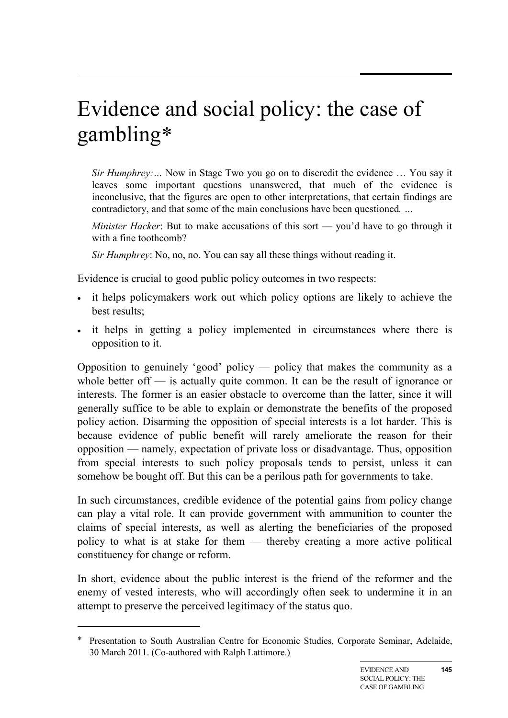# Evidence and social policy: the case of gambling[∗](#page-0-0)

*Sir Humphrey:…* Now in Stage Two you go on to discredit the evidence … You say it leaves some important questions unanswered, that much of the evidence is inconclusive, that the figures are open to other interpretations, that certain findings are contradictory, and that some of the main conclusions have been questioned*. …*

*Minister Hacker*: But to make accusations of this sort — you'd have to go through it with a fine toothcomb?

*Sir Humphrey*: No, no, no. You can say all these things without reading it.

Evidence is crucial to good public policy outcomes in two respects:

- it helps policymakers work out which policy options are likely to achieve the best results;
- it helps in getting a policy implemented in circumstances where there is opposition to it.

Opposition to genuinely 'good' policy — policy that makes the community as a whole better of f— is actually quite common. It can be the result of ignorance or interests. The former is an easier obstacle to overcome than the latter, since it will generally suffice to be able to explain or demonstrate the benefits of the proposed policy action. Disarming the opposition of special interests is a lot harder. This is because evidence of public benefit will rarely ameliorate the reason for their opposition — namely, expectation of private loss or disadvantage. Thus, opposition from special interests to such policy proposals tends to persist, unless it can somehow be bought off. But this can be a perilous path for governments to take.

In such circumstances, credible evidence of the potential gains from policy change can play a vital role. It can provide government with ammunition to counter the claims of special interests, as well as alerting the beneficiaries of the proposed policy to what is at stake for them — thereby creating a more active political constituency for change or reform.

In short, evidence about the public interest is the friend of the reformer and the enemy of vested interests, who will accordingly often seek to undermine it in an attempt to preserve the perceived legitimacy of the status quo.

-

<span id="page-0-0"></span>Presentation to South Australian Centre for Economic Studies, Corporate Seminar, Adelaide, 30 March 2011. (Co-authored with Ralph Lattimore.)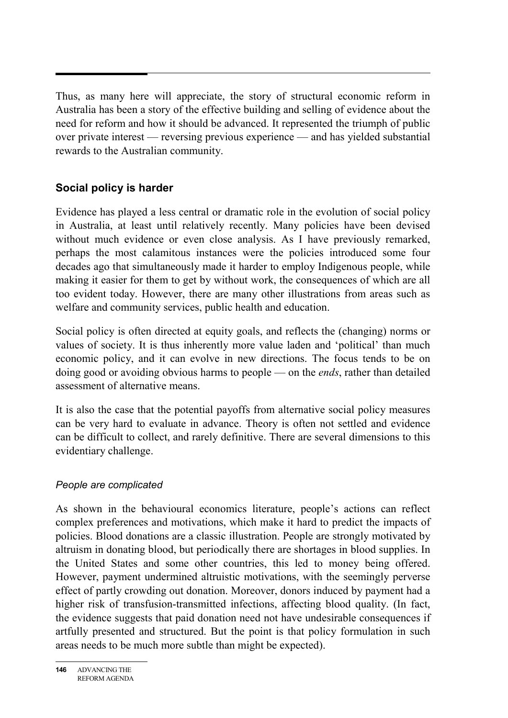Thus, as many here will appreciate, the story of structural economic reform in Australia has been a story of the effective building and selling of evidence about the need for reform and how it should be advanced. It represented the triumph of public over private interest — reversing previous experience — and has yielded substantial rewards to the Australian community.

# **Social policy is harder**

Evidence has played a less central or dramatic role in the evolution of social policy in Australia, at least until relatively recently. Many policies have been devised without much evidence or even close analysis. As I have previously remarked, perhaps the most calamitous instances were the policies introduced some four decades ago that simultaneously made it harder to employ Indigenous people, while making it easier for them to get by without work, the consequences of which are all too evident today. However, there are many other illustrations from areas such as welfare and community services, public health and education.

Social policy is often directed at equity goals, and reflects the (changing) norms or values of society. It is thus inherently more value laden and 'political' than much economic policy, and it can evolve in new directions. The focus tends to be on doing good or avoiding obvious harms to people — on the *ends*, rather than detailed assessment of alternative means.

It is also the case that the potential payoffs from alternative social policy measures can be very hard to evaluate in advance. Theory is often not settled and evidence can be difficult to collect, and rarely definitive. There are several dimensions to this evidentiary challenge.

#### *People are complicated*

As shown in the behavioural economics literature, people's actions can reflect complex preferences and motivations, which make it hard to predict the impacts of policies. Blood donations are a classic illustration. People are strongly motivated by altruism in donating blood, but periodically there are shortages in blood supplies. In the United States and some other countries, this led to money being offered. However, payment undermined altruistic motivations, with the seemingly perverse effect of partly crowding out donation. Moreover, donors induced by payment had a higher risk of transfusion-transmitted infections, affecting blood quality. (In fact, the evidence suggests that paid donation need not have undesirable consequences if artfully presented and structured. But the point is that policy formulation in such areas needs to be much more subtle than might be expected).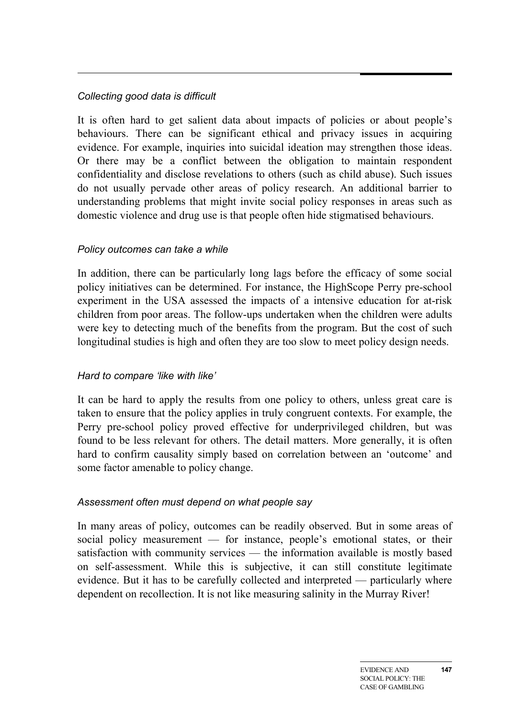#### *Collecting good data is difficult*

It is often hard to get salient data about impacts of policies or about people's behaviours. There can be significant ethical and privacy issues in acquiring evidence. For example, inquiries into suicidal ideation may strengthen those ideas. Or there may be a conflict between the obligation to maintain respondent confidentiality and disclose revelations to others (such as child abuse). Such issues do not usually pervade other areas of policy research. An additional barrier to understanding problems that might invite social policy responses in areas such as domestic violence and drug use is that people often hide stigmatised behaviours.

#### *Policy outcomes can take a while*

In addition, there can be particularly long lags before the efficacy of some social policy initiatives can be determined. For instance, the HighScope Perry pre-school experiment in the USA assessed the impacts of a intensive education for at-risk children from poor areas. The follow-ups undertaken when the children were adults were key to detecting much of the benefits from the program. But the cost of such longitudinal studies is high and often they are too slow to meet policy design needs.

#### *Hard to compare 'like with like'*

It can be hard to apply the results from one policy to others, unless great care is taken to ensure that the policy applies in truly congruent contexts. For example, the Perry pre-school policy proved effective for underprivileged children, but was found to be less relevant for others. The detail matters. More generally, it is often hard to confirm causality simply based on correlation between an 'outcome' and some factor amenable to policy change.

#### *Assessment often must depend on what people say*

In many areas of policy, outcomes can be readily observed. But in some areas of social policy measurement — for instance, people's emotional states, or their satisfaction with community services — the information available is mostly based on self-assessment. While this is subjective, it can still constitute legitimate evidence. But it has to be carefully collected and interpreted — particularly where dependent on recollection. It is not like measuring salinity in the Murray River!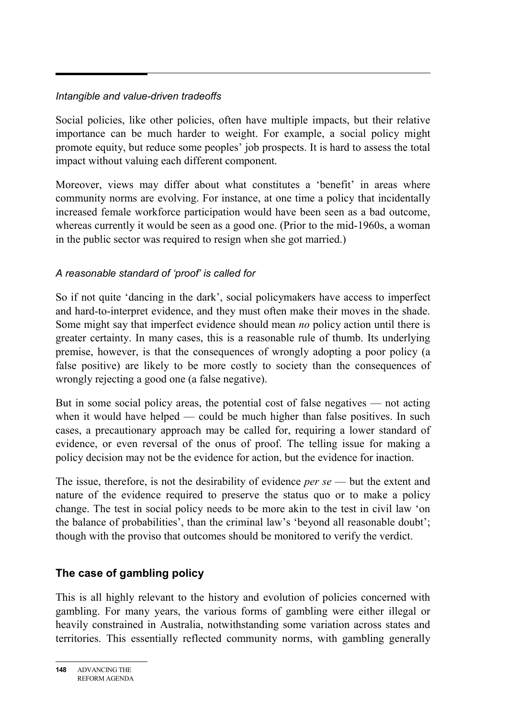## *Intangible and value-driven tradeoffs*

Social policies, like other policies, often have multiple impacts, but their relative importance can be much harder to weight. For example, a social policy might promote equity, but reduce some peoples' job prospects. It is hard to assess the total impact without valuing each different component.

Moreover, views may differ about what constitutes a 'benefit' in areas where community norms are evolving. For instance, at one time a policy that incidentally increased female workforce participation would have been seen as a bad outcome, whereas currently it would be seen as a good one. (Prior to the mid-1960s, a woman in the public sector was required to resign when she got married.)

## *A reasonable standard of 'proof' is called for*

So if not quite 'dancing in the dark', social policymakers have access to imperfect and hard-to-interpret evidence, and they must often make their moves in the shade. Some might say that imperfect evidence should mean *no* policy action until there is greater certainty. In many cases, this is a reasonable rule of thumb. Its underlying premise, however, is that the consequences of wrongly adopting a poor policy (a false positive) are likely to be more costly to society than the consequences of wrongly rejecting a good one (a false negative).

But in some social policy areas, the potential cost of false negatives — not acting when it would have helped — could be much higher than false positives. In such cases, a precautionary approach may be called for, requiring a lower standard of evidence, or even reversal of the onus of proof. The telling issue for making a policy decision may not be the evidence for action, but the evidence for inaction.

The issue, therefore, is not the desirability of evidence *per se* — but the extent and nature of the evidence required to preserve the status quo or to make a policy change. The test in social policy needs to be more akin to the test in civil law 'on the balance of probabilities', than the criminal law's 'beyond all reasonable doubt'; though with the proviso that outcomes should be monitored to verify the verdict.

# **The case of gambling policy**

This is all highly relevant to the history and evolution of policies concerned with gambling. For many years, the various forms of gambling were either illegal or heavily constrained in Australia, notwithstanding some variation across states and territories. This essentially reflected community norms, with gambling generally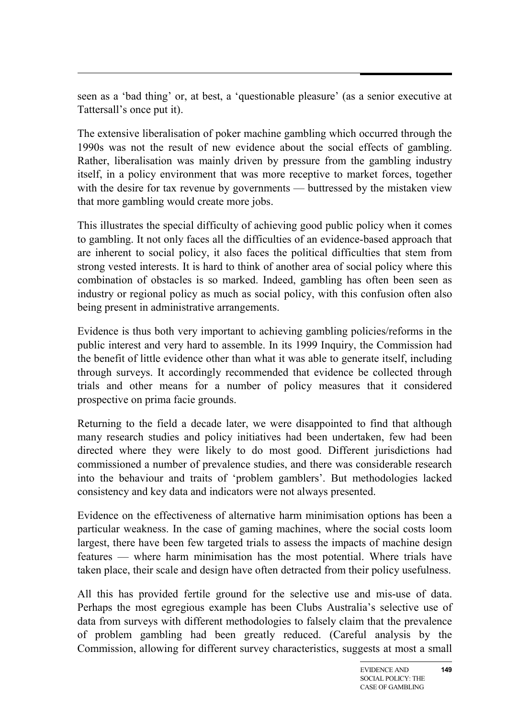seen as a 'bad thing' or, at best, a 'questionable pleasure' (as a senior executive at Tattersall's once put it).

The extensive liberalisation of poker machine gambling which occurred through the 1990s was not the result of new evidence about the social effects of gambling. Rather, liberalisation was mainly driven by pressure from the gambling industry itself, in a policy environment that was more receptive to market forces, together with the desire for tax revenue by governments — buttressed by the mistaken view that more gambling would create more jobs.

This illustrates the special difficulty of achieving good public policy when it comes to gambling. It not only faces all the difficulties of an evidence-based approach that are inherent to social policy, it also faces the political difficulties that stem from strong vested interests. It is hard to think of another area of social policy where this combination of obstacles is so marked. Indeed, gambling has often been seen as industry or regional policy as much as social policy, with this confusion often also being present in administrative arrangements.

Evidence is thus both very important to achieving gambling policies/reforms in the public interest and very hard to assemble. In its 1999 Inquiry, the Commission had the benefit of little evidence other than what it was able to generate itself, including through surveys. It accordingly recommended that evidence be collected through trials and other means for a number of policy measures that it considered prospective on prima facie grounds.

Returning to the field a decade later, we were disappointed to find that although many research studies and policy initiatives had been undertaken, few had been directed where they were likely to do most good. Different jurisdictions had commissioned a number of prevalence studies, and there was considerable research into the behaviour and traits of 'problem gamblers'. But methodologies lacked consistency and key data and indicators were not always presented.

Evidence on the effectiveness of alternative harm minimisation options has been a particular weakness. In the case of gaming machines, where the social costs loom largest, there have been few targeted trials to assess the impacts of machine design features — where harm minimisation has the most potential. Where trials have taken place, their scale and design have often detracted from their policy usefulness.

All this has provided fertile ground for the selective use and mis-use of data. Perhaps the most egregious example has been Clubs Australia's selective use of data from surveys with different methodologies to falsely claim that the prevalence of problem gambling had been greatly reduced. (Careful analysis by the Commission, allowing for different survey characteristics, suggests at most a small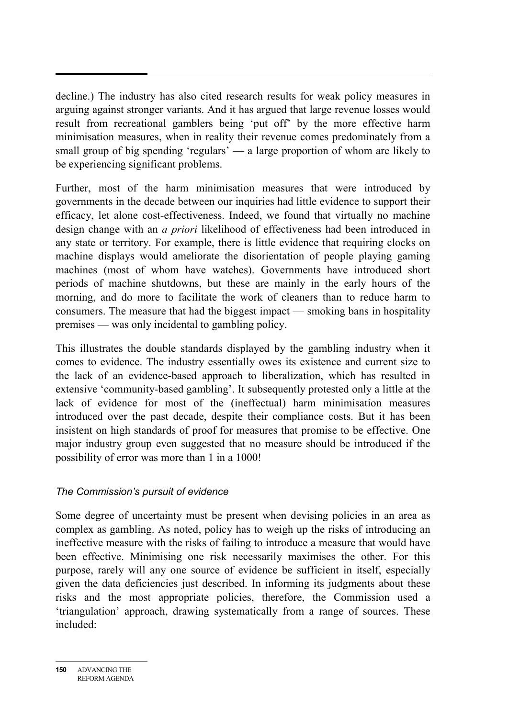decline.) The industry has also cited research results for weak policy measures in arguing against stronger variants. And it has argued that large revenue losses would result from recreational gamblers being 'put off' by the more effective harm minimisation measures, when in reality their revenue comes predominately from a small group of big spending 'regulars' — a large proportion of whom are likely to be experiencing significant problems.

Further, most of the harm minimisation measures that were introduced by governments in the decade between our inquiries had little evidence to support their efficacy, let alone cost-effectiveness. Indeed, we found that virtually no machine design change with an *a priori* likelihood of effectiveness had been introduced in any state or territory. For example, there is little evidence that requiring clocks on machine displays would ameliorate the disorientation of people playing gaming machines (most of whom have watches). Governments have introduced short periods of machine shutdowns, but these are mainly in the early hours of the morning, and do more to facilitate the work of cleaners than to reduce harm to consumers. The measure that had the biggest impact — smoking bans in hospitality premises — was only incidental to gambling policy.

This illustrates the double standards displayed by the gambling industry when it comes to evidence. The industry essentially owes its existence and current size to the lack of an evidence-based approach to liberalization, which has resulted in extensive 'community-based gambling'. It subsequently protested only a little at the lack of evidence for most of the (ineffectual) harm minimisation measures introduced over the past decade, despite their compliance costs. But it has been insistent on high standards of proof for measures that promise to be effective. One major industry group even suggested that no measure should be introduced if the possibility of error was more than 1 in a 1000!

#### *The Commission's pursuit of evidence*

Some degree of uncertainty must be present when devising policies in an area as complex as gambling. As noted, policy has to weigh up the risks of introducing an ineffective measure with the risks of failing to introduce a measure that would have been effective. Minimising one risk necessarily maximises the other. For this purpose, rarely will any one source of evidence be sufficient in itself, especially given the data deficiencies just described. In informing its judgments about these risks and the most appropriate policies, therefore, the Commission used a 'triangulation' approach, drawing systematically from a range of sources. These included: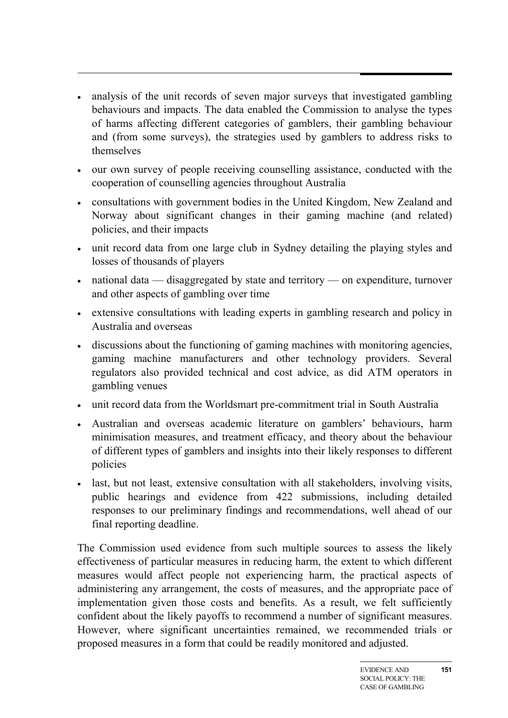- analysis of the unit records of seven major surveys that investigated gambling behaviours and impacts. The data enabled the Commission to analyse the types of harms affecting different categories of gamblers, their gambling behaviour and (from some surveys), the strategies used by gamblers to address risks to themselves
- our own survey of people receiving counselling assistance, conducted with the cooperation of counselling agencies throughout Australia
- consultations with government bodies in the United Kingdom, New Zealand and Norway about significant changes in their gaming machine (and related) policies, and their impacts
- unit record data from one large club in Sydney detailing the playing styles and losses of thousands of players
- national data disaggregated by state and territory on expenditure, turnover and other aspects of gambling over time
- extensive consultations with leading experts in gambling research and policy in Australia and overseas
- discussions about the functioning of gaming machines with monitoring agencies, gaming machine manufacturers and other technology providers. Several regulators also provided technical and cost advice, as did ATM operators in gambling venues
- unit record data from the Worldsmart pre-commitment trial in South Australia
- Australian and overseas academic literature on gamblers' behaviours, harm minimisation measures, and treatment efficacy, and theory about the behaviour of different types of gamblers and insights into their likely responses to different policies
- last, but not least, extensive consultation with all stakeholders, involving visits, public hearings and evidence from 422 submissions, including detailed responses to our preliminary findings and recommendations, well ahead of our final reporting deadline.

The Commission used evidence from such multiple sources to assess the likely effectiveness of particular measures in reducing harm, the extent to which different measures would affect people not experiencing harm, the practical aspects of administering any arrangement, the costs of measures, and the appropriate pace of implementation given those costs and benefits. As a result, we felt sufficiently confident about the likely payoffs to recommend a number of significant measures. However, where significant uncertainties remained, we recommended trials or proposed measures in a form that could be readily monitored and adjusted.

**151**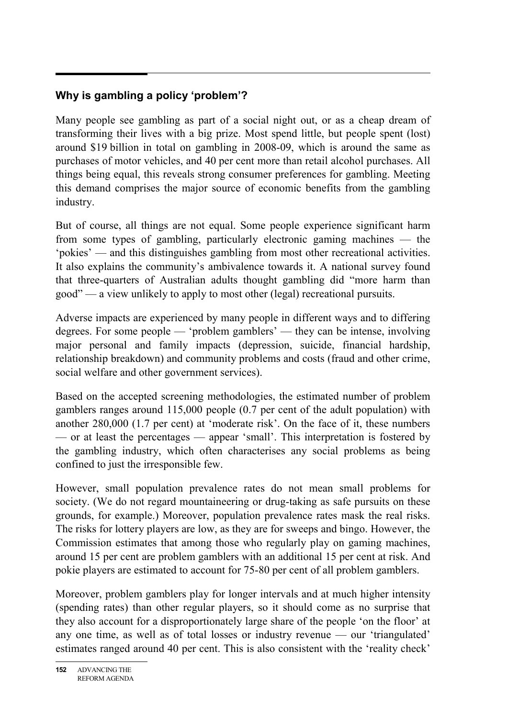# **Why is gambling a policy 'problem'?**

Many people see gambling as part of a social night out, or as a cheap dream of transforming their lives with a big prize. Most spend little, but people spent (lost) around \$19 billion in total on gambling in 2008-09, which is around the same as purchases of motor vehicles, and 40 per cent more than retail alcohol purchases. All things being equal, this reveals strong consumer preferences for gambling. Meeting this demand comprises the major source of economic benefits from the gambling industry.

But of course, all things are not equal. Some people experience significant harm from some types of gambling, particularly electronic gaming machines — the 'pokies' — and this distinguishes gambling from most other recreational activities. It also explains the community's ambivalence towards it. A national survey found that three-quarters of Australian adults thought gambling did "more harm than good" — a view unlikely to apply to most other (legal) recreational pursuits.

Adverse impacts are experienced by many people in different ways and to differing degrees. For some people — 'problem gamblers' — they can be intense, involving major personal and family impacts (depression, suicide, financial hardship, relationship breakdown) and community problems and costs (fraud and other crime, social welfare and other government services).

Based on the accepted screening methodologies, the estimated number of problem gamblers ranges around 115,000 people (0.7 per cent of the adult population) with another 280,000 (1.7 per cent) at 'moderate risk'. On the face of it, these numbers — or at least the percentages — appear 'small'. This interpretation is fostered by the gambling industry, which often characterises any social problems as being confined to just the irresponsible few.

However, small population prevalence rates do not mean small problems for society. (We do not regard mountaineering or drug-taking as safe pursuits on these grounds, for example.) Moreover, population prevalence rates mask the real risks. The risks for lottery players are low, as they are for sweeps and bingo. However, the Commission estimates that among those who regularly play on gaming machines, around 15 per cent are problem gamblers with an additional 15 per cent at risk. And pokie players are estimated to account for 75-80 per cent of all problem gamblers.

Moreover, problem gamblers play for longer intervals and at much higher intensity (spending rates) than other regular players, so it should come as no surprise that they also account for a disproportionately large share of the people 'on the floor' at any one time, as well as of total losses or industry revenue — our 'triangulated' estimates ranged around 40 per cent. This is also consistent with the 'reality check'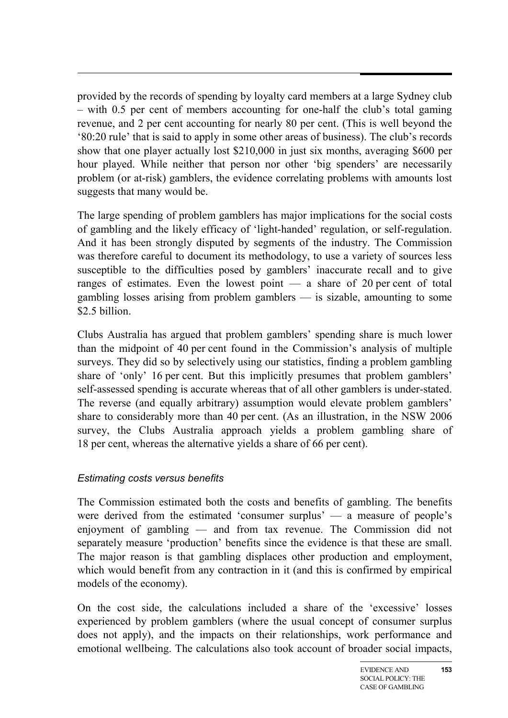provided by the records of spending by loyalty card members at a large Sydney club – with 0.5 per cent of members accounting for one-half the club's total gaming revenue, and 2 per cent accounting for nearly 80 per cent. (This is well beyond the '80:20 rule' that is said to apply in some other areas of business). The club's records show that one player actually lost \$210,000 in just six months, averaging \$600 per hour played. While neither that person nor other 'big spenders' are necessarily problem (or at-risk) gamblers, the evidence correlating problems with amounts lost suggests that many would be.

The large spending of problem gamblers has major implications for the social costs of gambling and the likely efficacy of 'light-handed' regulation, or self-regulation. And it has been strongly disputed by segments of the industry. The Commission was therefore careful to document its methodology, to use a variety of sources less susceptible to the difficulties posed by gamblers' inaccurate recall and to give ranges of estimates. Even the lowest point — a share of 20 per cent of total gambling losses arising from problem gamblers — is sizable, amounting to some \$2.5 billion.

Clubs Australia has argued that problem gamblers' spending share is much lower than the midpoint of 40 per cent found in the Commission's analysis of multiple surveys. They did so by selectively using our statistics, finding a problem gambling share of 'only' 16 per cent. But this implicitly presumes that problem gamblers' self-assessed spending is accurate whereas that of all other gamblers is under-stated. The reverse (and equally arbitrary) assumption would elevate problem gamblers' share to considerably more than 40 per cent. (As an illustration, in the NSW 2006 survey, the Clubs Australia approach yields a problem gambling share of 18 per cent, whereas the alternative yields a share of 66 per cent).

#### *Estimating costs versus benefits*

The Commission estimated both the costs and benefits of gambling. The benefits were derived from the estimated 'consumer surplus' — a measure of people's enjoyment of gambling — and from tax revenue. The Commission did not separately measure 'production' benefits since the evidence is that these are small. The major reason is that gambling displaces other production and employment, which would benefit from any contraction in it (and this is confirmed by empirical models of the economy).

On the cost side, the calculations included a share of the 'excessive' losses experienced by problem gamblers (where the usual concept of consumer surplus does not apply), and the impacts on their relationships, work performance and emotional wellbeing. The calculations also took account of broader social impacts,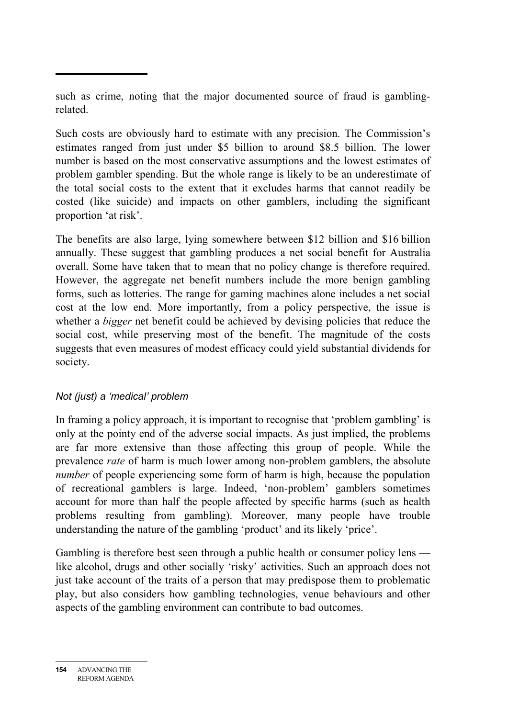such as crime, noting that the major documented source of fraud is gamblingrelated.

Such costs are obviously hard to estimate with any precision. The Commission's estimates ranged from just under \$5 billion to around \$8.5 billion. The lower number is based on the most conservative assumptions and the lowest estimates of problem gambler spending. But the whole range is likely to be an underestimate of the total social costs to the extent that it excludes harms that cannot readily be costed (like suicide) and impacts on other gamblers, including the significant proportion 'at risk'.

The benefits are also large, lying somewhere between \$12 billion and \$16 billion annually. These suggest that gambling produces a net social benefit for Australia overall. Some have taken that to mean that no policy change is therefore required. However, the aggregate net benefit numbers include the more benign gambling forms, such as lotteries. The range for gaming machines alone includes a net social cost at the low end. More importantly, from a policy perspective, the issue is whether a *bigger* net benefit could be achieved by devising policies that reduce the social cost, while preserving most of the benefit. The magnitude of the costs suggests that even measures of modest efficacy could yield substantial dividends for society.

#### *Not (just) a 'medical' problem*

In framing a policy approach, it is important to recognise that 'problem gambling' is only at the pointy end of the adverse social impacts. As just implied, the problems are far more extensive than those affecting this group of people. While the prevalence *rate* of harm is much lower among non-problem gamblers, the absolute *number* of people experiencing some form of harm is high, because the population of recreational gamblers is large. Indeed, 'non-problem' gamblers sometimes account for more than half the people affected by specific harms (such as health problems resulting from gambling). Moreover, many people have trouble understanding the nature of the gambling 'product' and its likely 'price'.

Gambling is therefore best seen through a public health or consumer policy lens like alcohol, drugs and other socially 'risky' activities. Such an approach does not just take account of the traits of a person that may predispose them to problematic play, but also considers how gambling technologies, venue behaviours and other aspects of the gambling environment can contribute to bad outcomes.

**<sup>154</sup>** ADVANCING THE REFORM AGENDA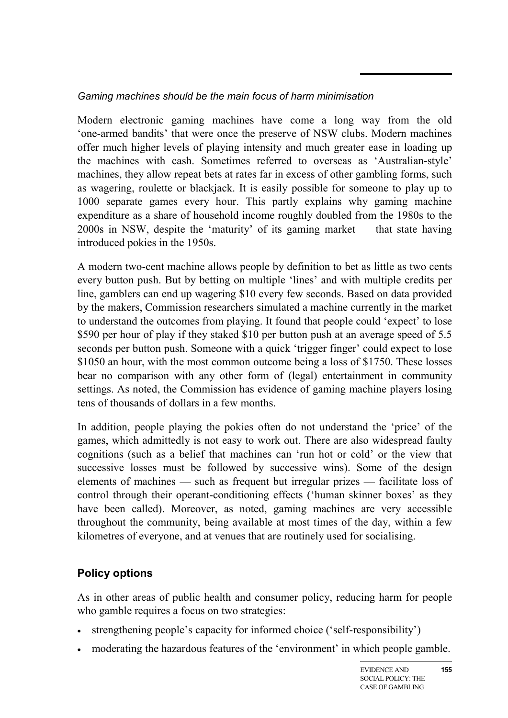## *Gaming machines should be the main focus of harm minimisation*

Modern electronic gaming machines have come a long way from the old 'one-armed bandits' that were once the preserve of NSW clubs. Modern machines offer much higher levels of playing intensity and much greater ease in loading up the machines with cash. Sometimes referred to overseas as 'Australian-style' machines, they allow repeat bets at rates far in excess of other gambling forms, such as wagering, roulette or blackjack. It is easily possible for someone to play up to 1000 separate games every hour. This partly explains why gaming machine expenditure as a share of household income roughly doubled from the 1980s to the 2000s in NSW, despite the 'maturity' of its gaming market — that state having introduced pokies in the 1950s.

A modern two-cent machine allows people by definition to bet as little as two cents every button push. But by betting on multiple 'lines' and with multiple credits per line, gamblers can end up wagering \$10 every few seconds. Based on data provided by the makers, Commission researchers simulated a machine currently in the market to understand the outcomes from playing. It found that people could 'expect' to lose \$590 per hour of play if they staked \$10 per button push at an average speed of 5.5 seconds per button push. Someone with a quick 'trigger finger' could expect to lose \$1050 an hour, with the most common outcome being a loss of \$1750. These losses bear no comparison with any other form of (legal) entertainment in community settings. As noted, the Commission has evidence of gaming machine players losing tens of thousands of dollars in a few months.

In addition, people playing the pokies often do not understand the 'price' of the games, which admittedly is not easy to work out. There are also widespread faulty cognitions (such as a belief that machines can 'run hot or cold' or the view that successive losses must be followed by successive wins). Some of the design elements of machines — such as frequent but irregular prizes — facilitate loss of control through their operant-conditioning effects ('human skinner boxes' as they have been called). Moreover, as noted, gaming machines are very accessible throughout the community, being available at most times of the day, within a few kilometres of everyone, and at venues that are routinely used for socialising.

## **Policy options**

As in other areas of public health and consumer policy, reducing harm for people who gamble requires a focus on two strategies:

- strengthening people's capacity for informed choice ('self-responsibility')
- moderating the hazardous features of the 'environment' in which people gamble.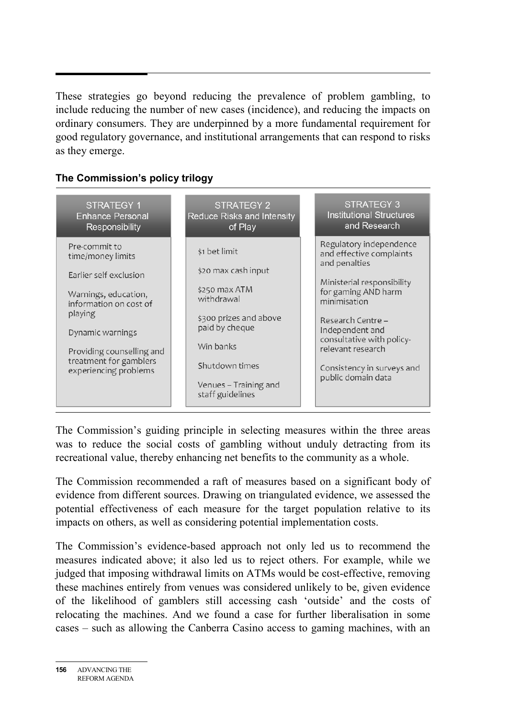These strategies go beyond reducing the prevalence of problem gambling, to include reducing the number of new cases (incidence), and reducing the impacts on ordinary consumers. They are underpinned by a more fundamental requirement for good regulatory governance, and institutional arrangements that can respond to risks as they emerge.

#### **The Commission's policy trilogy**



The Commission's guiding principle in selecting measures within the three areas was to reduce the social costs of gambling without unduly detracting from its recreational value, thereby enhancing net benefits to the community as a whole.

The Commission recommended a raft of measures based on a significant body of evidence from different sources. Drawing on triangulated evidence, we assessed the potential effectiveness of each measure for the target population relative to its impacts on others, as well as considering potential implementation costs.

The Commission's evidence-based approach not only led us to recommend the measures indicated above; it also led us to reject others. For example, while we judged that imposing withdrawal limits on ATMs would be cost-effective, removing these machines entirely from venues was considered unlikely to be, given evidence of the likelihood of gamblers still accessing cash 'outside' and the costs of relocating the machines. And we found a case for further liberalisation in some cases – such as allowing the Canberra Casino access to gaming machines, with an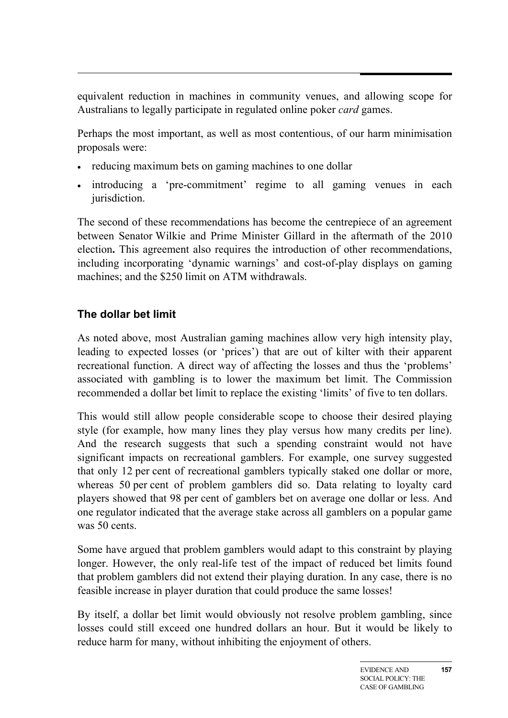equivalent reduction in machines in community venues, and allowing scope for Australians to legally participate in regulated online poker *card* games.

Perhaps the most important, as well as most contentious, of our harm minimisation proposals were:

- reducing maximum bets on gaming machines to one dollar
- introducing a 'pre-commitment' regime to all gaming venues in each jurisdiction.

The second of these recommendations has become the centrepiece of an agreement between Senator Wilkie and Prime Minister Gillard in the aftermath of the 2010 election**.** This agreement also requires the introduction of other recommendations, including incorporating 'dynamic warnings' and cost-of-play displays on gaming machines; and the \$250 limit on ATM withdrawals.

# **The dollar bet limit**

As noted above, most Australian gaming machines allow very high intensity play, leading to expected losses (or 'prices') that are out of kilter with their apparent recreational function. A direct way of affecting the losses and thus the 'problems' associated with gambling is to lower the maximum bet limit. The Commission recommended a dollar bet limit to replace the existing 'limits' of five to ten dollars.

This would still allow people considerable scope to choose their desired playing style (for example, how many lines they play versus how many credits per line). And the research suggests that such a spending constraint would not have significant impacts on recreational gamblers. For example, one survey suggested that only 12 per cent of recreational gamblers typically staked one dollar or more, whereas 50 per cent of problem gamblers did so. Data relating to loyalty card players showed that 98 per cent of gamblers bet on average one dollar or less. And one regulator indicated that the average stake across all gamblers on a popular game was 50 cents.

Some have argued that problem gamblers would adapt to this constraint by playing longer. However, the only real-life test of the impact of reduced bet limits found that problem gamblers did not extend their playing duration. In any case, there is no feasible increase in player duration that could produce the same losses!

By itself, a dollar bet limit would obviously not resolve problem gambling, since losses could still exceed one hundred dollars an hour. But it would be likely to reduce harm for many, without inhibiting the enjoyment of others.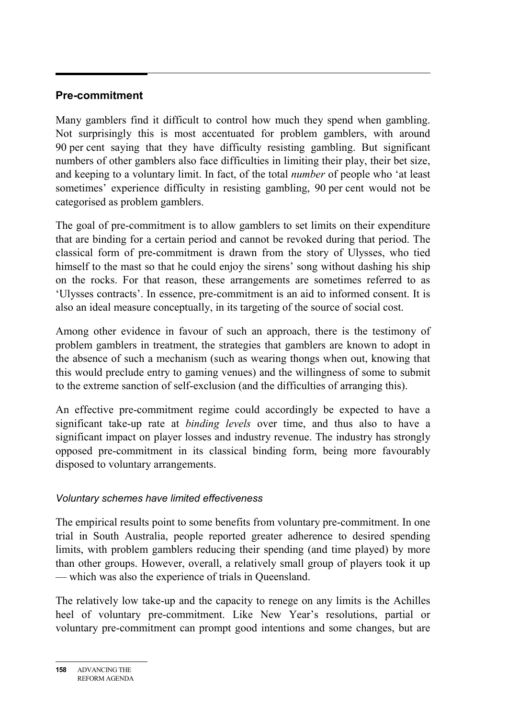## **Pre-commitment**

Many gamblers find it difficult to control how much they spend when gambling. Not surprisingly this is most accentuated for problem gamblers, with around 90 per cent saying that they have difficulty resisting gambling. But significant numbers of other gamblers also face difficulties in limiting their play, their bet size, and keeping to a voluntary limit. In fact, of the total *number* of people who 'at least sometimes' experience difficulty in resisting gambling, 90 per cent would not be categorised as problem gamblers.

The goal of pre-commitment is to allow gamblers to set limits on their expenditure that are binding for a certain period and cannot be revoked during that period. The classical form of pre-commitment is drawn from the story of Ulysses, who tied himself to the mast so that he could enjoy the sirens' song without dashing his ship on the rocks. For that reason, these arrangements are sometimes referred to as 'Ulysses contracts'. In essence, pre-commitment is an aid to informed consent. It is also an ideal measure conceptually, in its targeting of the source of social cost.

Among other evidence in favour of such an approach, there is the testimony of problem gamblers in treatment, the strategies that gamblers are known to adopt in the absence of such a mechanism (such as wearing thongs when out, knowing that this would preclude entry to gaming venues) and the willingness of some to submit to the extreme sanction of self-exclusion (and the difficulties of arranging this).

An effective pre-commitment regime could accordingly be expected to have a significant take-up rate at *binding levels* over time, and thus also to have a significant impact on player losses and industry revenue. The industry has strongly opposed pre-commitment in its classical binding form, being more favourably disposed to voluntary arrangements.

#### *Voluntary schemes have limited effectiveness*

The empirical results point to some benefits from voluntary pre-commitment. In one trial in South Australia, people reported greater adherence to desired spending limits, with problem gamblers reducing their spending (and time played) by more than other groups. However, overall, a relatively small group of players took it up — which was also the experience of trials in Queensland.

The relatively low take-up and the capacity to renege on any limits is the Achilles heel of voluntary pre-commitment. Like New Year's resolutions, partial or voluntary pre-commitment can prompt good intentions and some changes, but are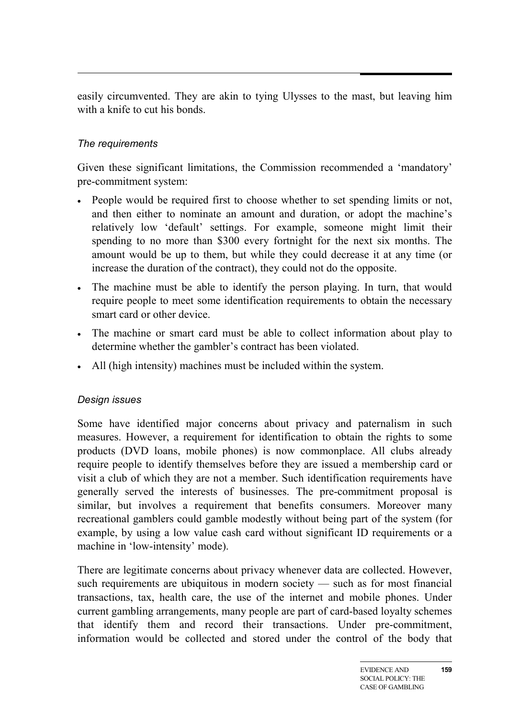easily circumvented. They are akin to tying Ulysses to the mast, but leaving him with a knife to cut his bonds.

## *The requirements*

Given these significant limitations, the Commission recommended a 'mandatory' pre-commitment system:

- People would be required first to choose whether to set spending limits or not, and then either to nominate an amount and duration, or adopt the machine's relatively low 'default' settings. For example, someone might limit their spending to no more than \$300 every fortnight for the next six months. The amount would be up to them, but while they could decrease it at any time (or increase the duration of the contract), they could not do the opposite.
- The machine must be able to identify the person playing. In turn, that would require people to meet some identification requirements to obtain the necessary smart card or other device.
- The machine or smart card must be able to collect information about play to determine whether the gambler's contract has been violated.
- All (high intensity) machines must be included within the system.

#### *Design issues*

Some have identified major concerns about privacy and paternalism in such measures. However, a requirement for identification to obtain the rights to some products (DVD loans, mobile phones) is now commonplace. All clubs already require people to identify themselves before they are issued a membership card or visit a club of which they are not a member. Such identification requirements have generally served the interests of businesses. The pre-commitment proposal is similar, but involves a requirement that benefits consumers. Moreover many recreational gamblers could gamble modestly without being part of the system (for example, by using a low value cash card without significant ID requirements or a machine in 'low-intensity' mode).

There are legitimate concerns about privacy whenever data are collected. However, such requirements are ubiquitous in modern society — such as for most financial transactions, tax, health care, the use of the internet and mobile phones. Under current gambling arrangements, many people are part of card-based loyalty schemes that identify them and record their transactions. Under pre-commitment, information would be collected and stored under the control of the body that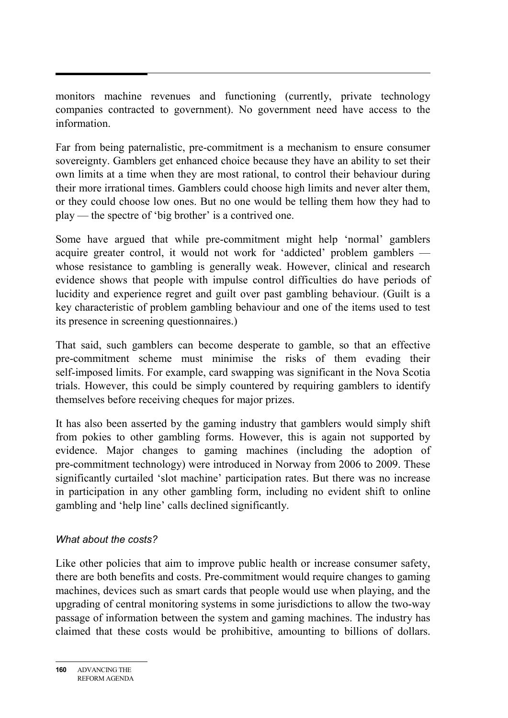monitors machine revenues and functioning (currently, private technology companies contracted to government). No government need have access to the information.

Far from being paternalistic, pre-commitment is a mechanism to ensure consumer sovereignty. Gamblers get enhanced choice because they have an ability to set their own limits at a time when they are most rational, to control their behaviour during their more irrational times. Gamblers could choose high limits and never alter them, or they could choose low ones. But no one would be telling them how they had to play — the spectre of 'big brother' is a contrived one.

Some have argued that while pre-commitment might help 'normal' gamblers acquire greater control, it would not work for 'addicted' problem gamblers whose resistance to gambling is generally weak. However, clinical and research evidence shows that people with impulse control difficulties do have periods of lucidity and experience regret and guilt over past gambling behaviour. (Guilt is a key characteristic of problem gambling behaviour and one of the items used to test its presence in screening questionnaires.)

That said, such gamblers can become desperate to gamble, so that an effective pre-commitment scheme must minimise the risks of them evading their self-imposed limits. For example, card swapping was significant in the Nova Scotia trials. However, this could be simply countered by requiring gamblers to identify themselves before receiving cheques for major prizes.

It has also been asserted by the gaming industry that gamblers would simply shift from pokies to other gambling forms. However, this is again not supported by evidence. Major changes to gaming machines (including the adoption of pre-commitment technology) were introduced in Norway from 2006 to 2009. These significantly curtailed 'slot machine' participation rates. But there was no increase in participation in any other gambling form, including no evident shift to online gambling and 'help line' calls declined significantly.

#### *What about the costs?*

Like other policies that aim to improve public health or increase consumer safety, there are both benefits and costs. Pre-commitment would require changes to gaming machines, devices such as smart cards that people would use when playing, and the upgrading of central monitoring systems in some jurisdictions to allow the two-way passage of information between the system and gaming machines. The industry has claimed that these costs would be prohibitive, amounting to billions of dollars.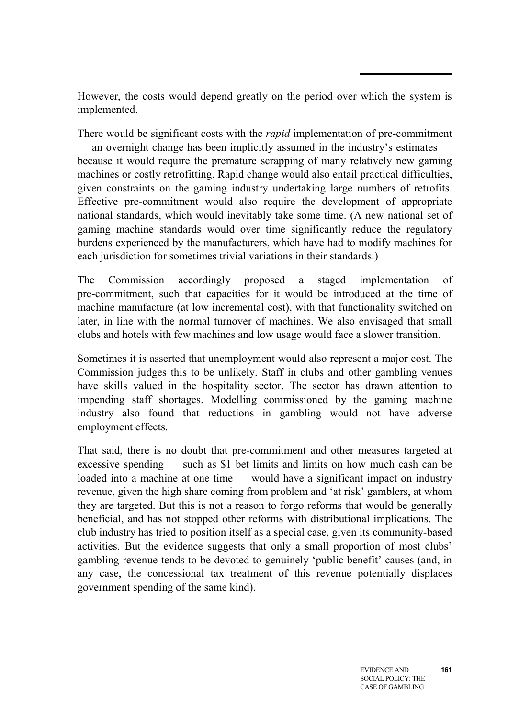However, the costs would depend greatly on the period over which the system is implemented.

There would be significant costs with the *rapid* implementation of pre-commitment — an overnight change has been implicitly assumed in the industry's estimates because it would require the premature scrapping of many relatively new gaming machines or costly retrofitting. Rapid change would also entail practical difficulties, given constraints on the gaming industry undertaking large numbers of retrofits. Effective pre-commitment would also require the development of appropriate national standards, which would inevitably take some time. (A new national set of gaming machine standards would over time significantly reduce the regulatory burdens experienced by the manufacturers, which have had to modify machines for each jurisdiction for sometimes trivial variations in their standards.)

The Commission accordingly proposed a staged implementation of pre-commitment, such that capacities for it would be introduced at the time of machine manufacture (at low incremental cost), with that functionality switched on later, in line with the normal turnover of machines. We also envisaged that small clubs and hotels with few machines and low usage would face a slower transition.

Sometimes it is asserted that unemployment would also represent a major cost. The Commission judges this to be unlikely. Staff in clubs and other gambling venues have skills valued in the hospitality sector. The sector has drawn attention to impending staff shortages. Modelling commissioned by the gaming machine industry also found that reductions in gambling would not have adverse employment effects.

That said, there is no doubt that pre-commitment and other measures targeted at excessive spending — such as \$1 bet limits and limits on how much cash can be loaded into a machine at one time — would have a significant impact on industry revenue, given the high share coming from problem and 'at risk' gamblers, at whom they are targeted. But this is not a reason to forgo reforms that would be generally beneficial, and has not stopped other reforms with distributional implications. The club industry has tried to position itself as a special case, given its community-based activities. But the evidence suggests that only a small proportion of most clubs' gambling revenue tends to be devoted to genuinely 'public benefit' causes (and, in any case, the concessional tax treatment of this revenue potentially displaces government spending of the same kind).